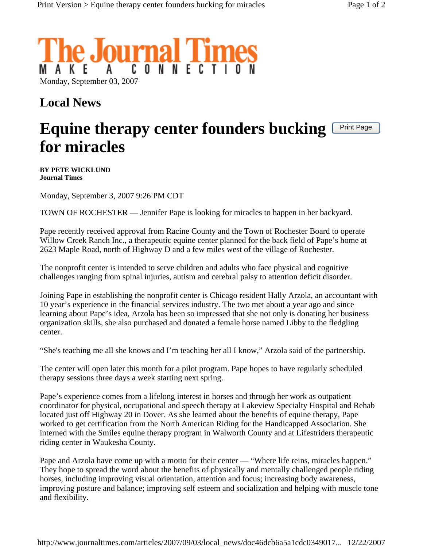

## **Local News**

## **Equine therapy center founders bucking for miracles**  Print Page

**BY PETE WICKLUND Journal Times** 

Monday, September 3, 2007 9:26 PM CDT

TOWN OF ROCHESTER — Jennifer Pape is looking for miracles to happen in her backyard.

Pape recently received approval from Racine County and the Town of Rochester Board to operate Willow Creek Ranch Inc., a therapeutic equine center planned for the back field of Pape's home at 2623 Maple Road, north of Highway D and a few miles west of the village of Rochester.

The nonprofit center is intended to serve children and adults who face physical and cognitive challenges ranging from spinal injuries, autism and cerebral palsy to attention deficit disorder.

Joining Pape in establishing the nonprofit center is Chicago resident Hally Arzola, an accountant with 10 year's experience in the financial services industry. The two met about a year ago and since learning about Pape's idea, Arzola has been so impressed that she not only is donating her business organization skills, she also purchased and donated a female horse named Libby to the fledgling center.

"She's teaching me all she knows and I'm teaching her all I know," Arzola said of the partnership.

The center will open later this month for a pilot program. Pape hopes to have regularly scheduled therapy sessions three days a week starting next spring.

Pape's experience comes from a lifelong interest in horses and through her work as outpatient coordinator for physical, occupational and speech therapy at Lakeview Specialty Hospital and Rehab located just off Highway 20 in Dover. As she learned about the benefits of equine therapy, Pape worked to get certification from the North American Riding for the Handicapped Association. She interned with the Smiles equine therapy program in Walworth County and at Lifestriders therapeutic riding center in Waukesha County.

Pape and Arzola have come up with a motto for their center — "Where life reins, miracles happen." They hope to spread the word about the benefits of physically and mentally challenged people riding horses, including improving visual orientation, attention and focus; increasing body awareness, improving posture and balance; improving self esteem and socialization and helping with muscle tone and flexibility.